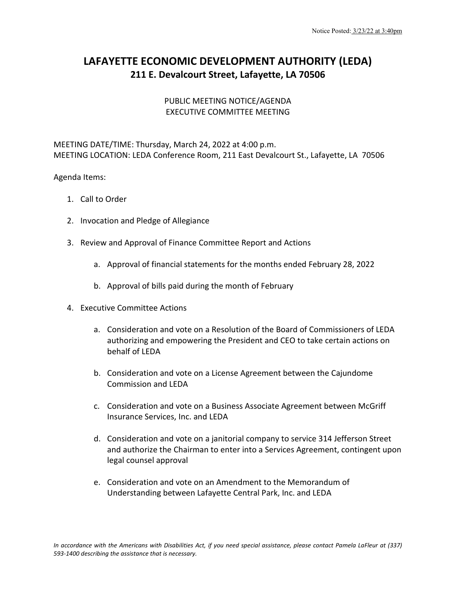## **LAFAYETTE ECONOMIC DEVELOPMENT AUTHORITY (LEDA) 211 E. Devalcourt Street, Lafayette, LA 70506**

## PUBLIC MEETING NOTICE/AGENDA EXECUTIVE COMMITTEE MEETING

MEETING DATE/TIME: Thursday, March 24, 2022 at 4:00 p.m. MEETING LOCATION: LEDA Conference Room, 211 East Devalcourt St., Lafayette, LA 70506

## Agenda Items:

- 1. Call to Order
- 2. Invocation and Pledge of Allegiance
- 3. Review and Approval of Finance Committee Report and Actions
	- a. Approval of financial statements for the months ended February 28, 2022
	- b. Approval of bills paid during the month of February
- 4. Executive Committee Actions
	- a. Consideration and vote on a Resolution of the Board of Commissioners of LEDA authorizing and empowering the President and CEO to take certain actions on behalf of LEDA
	- b. Consideration and vote on a License Agreement between the Cajundome Commission and LEDA
	- c. Consideration and vote on a Business Associate Agreement between McGriff Insurance Services, Inc. and LEDA
	- d. Consideration and vote on a janitorial company to service 314 Jefferson Street and authorize the Chairman to enter into a Services Agreement, contingent upon legal counsel approval
	- e. Consideration and vote on an Amendment to the Memorandum of Understanding between Lafayette Central Park, Inc. and LEDA